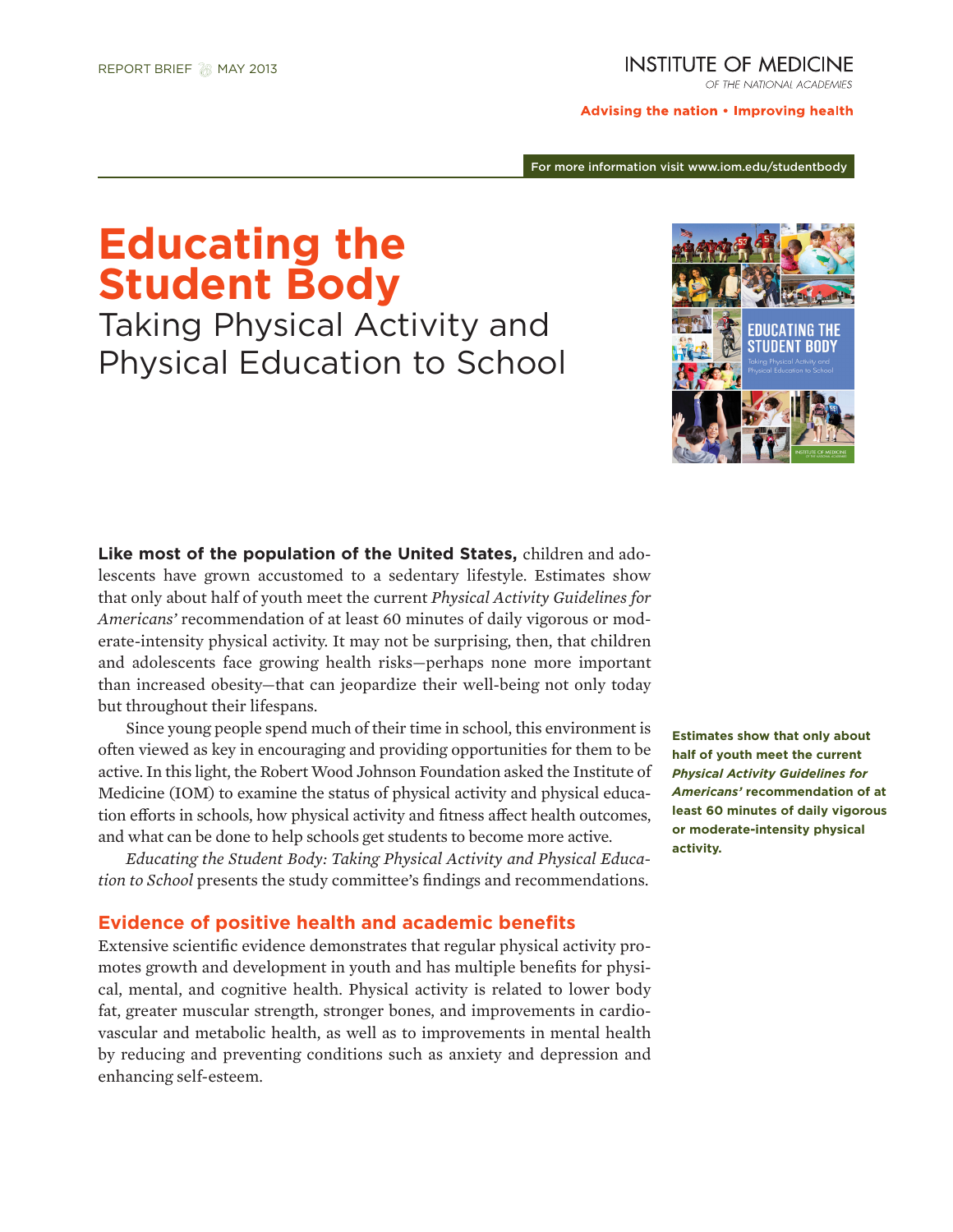## **INSTITUTE OF MEDICINE**

OF THE NATIONAL ACADEMIES

Advising the nation . Improving health

For more information visit www.iom.edu/studentbody

# **Educating the Student Body**

Taking Physical Activity and Physical Education to School



**Like most of the population of the United States,** children and adolescents have grown accustomed to a sedentary lifestyle. Estimates show that only about half of youth meet the current *Physical Activity Guidelines for Americans'* recommendation of at least 60 minutes of daily vigorous or moderate-intensity physical activity. It may not be surprising, then, that children and adolescents face growing health risks—perhaps none more important than increased obesity—that can jeopardize their well-being not only today but throughout their lifespans.

Since young people spend much of their time in school, this environment is often viewed as key in encouraging and providing opportunities for them to be active. In this light, the Robert Wood Johnson Foundation asked the Institute of Medicine (IOM) to examine the status of physical activity and physical education efforts in schools, how physical activity and fitness affect health outcomes, and what can be done to help schools get students to become more active.

*Educating the Student Body: Taking Physical Activity and Physical Education to School* presents the study committee's findings and recommendations.

## **Evidence of positive health and academic benefits**

Extensive scientific evidence demonstrates that regular physical activity promotes growth and development in youth and has multiple benefits for physical, mental, and cognitive health. Physical activity is related to lower body fat, greater muscular strength, stronger bones, and improvements in cardiovascular and metabolic health, as well as to improvements in mental health by reducing and preventing conditions such as anxiety and depression and enhancing self-esteem.

**Estimates show that only about half of youth meet the current**  *Physical Activity Guidelines for Americans'* **recommendation of at least 60 minutes of daily vigorous or moderate-intensity physical activity.**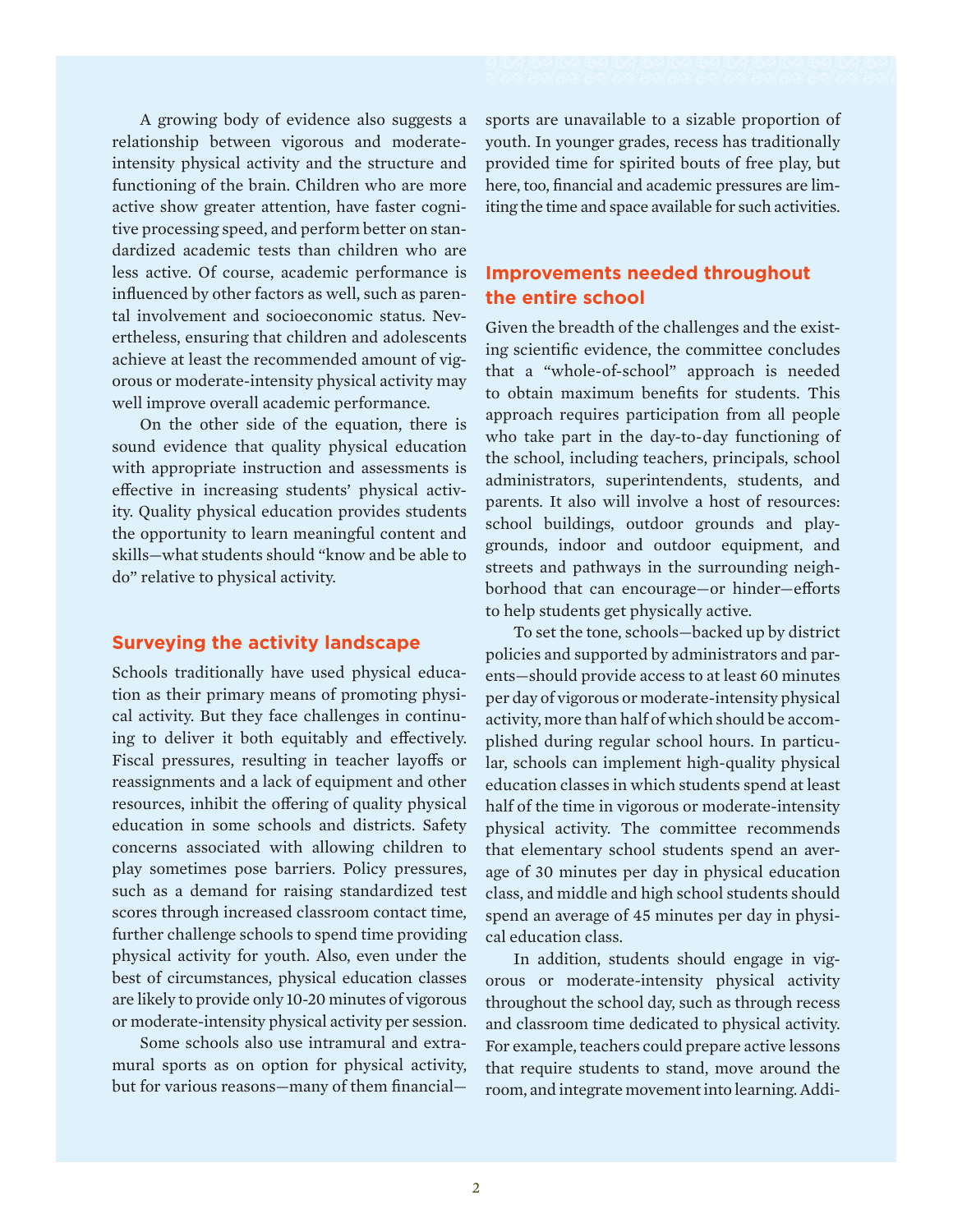A growing body of evidence also suggests a relationship between vigorous and moderateintensity physical activity and the structure and functioning of the brain. Children who are more active show greater attention, have faster cognitive processing speed, and perform better on standardized academic tests than children who are less active. Of course, academic performance is influenced by other factors as well, such as parental involvement and socioeconomic status. Nevertheless, ensuring that children and adolescents achieve at least the recommended amount of vigorous or moderate-intensity physical activity may well improve overall academic performance.

On the other side of the equation, there is sound evidence that quality physical education with appropriate instruction and assessments is effective in increasing students' physical activity. Quality physical education provides students the opportunity to learn meaningful content and skills—what students should "know and be able to do" relative to physical activity.

# **Surveying the activity landscape**

Schools traditionally have used physical education as their primary means of promoting physical activity. But they face challenges in continuing to deliver it both equitably and effectively. Fiscal pressures, resulting in teacher layoffs or reassignments and a lack of equipment and other resources, inhibit the offering of quality physical education in some schools and districts. Safety concerns associated with allowing children to play sometimes pose barriers. Policy pressures, such as a demand for raising standardized test scores through increased classroom contact time, further challenge schools to spend time providing physical activity for youth. Also, even under the best of circumstances, physical education classes are likely to provide only 10-20 minutes of vigorous or moderate-intensity physical activity per session.

Some schools also use intramural and extramural sports as on option for physical activity, but for various reasons—many of them financialsports are unavailable to a sizable proportion of youth. In younger grades, recess has traditionally provided time for spirited bouts of free play, but here, too, financial and academic pressures are limiting the time and space available for such activities.

# **Improvements needed throughout the entire school**

Given the breadth of the challenges and the existing scientific evidence, the committee concludes that a "whole-of-school" approach is needed to obtain maximum benefits for students. This approach requires participation from all people who take part in the day-to-day functioning of the school, including teachers, principals, school administrators, superintendents, students, and parents. It also will involve a host of resources: school buildings, outdoor grounds and playgrounds, indoor and outdoor equipment, and streets and pathways in the surrounding neighborhood that can encourage—or hinder—efforts to help students get physically active.

To set the tone, schools—backed up by district policies and supported by administrators and parents—should provide access to at least 60 minutes per day of vigorous or moderate-intensity physical activity, more than half of which should be accomplished during regular school hours. In particular, schools can implement high-quality physical education classes in which students spend at least half of the time in vigorous or moderate-intensity physical activity. The committee recommends that elementary school students spend an average of 30 minutes per day in physical education class, and middle and high school students should spend an average of 45 minutes per day in physical education class.

In addition, students should engage in vigorous or moderate-intensity physical activity throughout the school day, such as through recess and classroom time dedicated to physical activity. For example, teachers could prepare active lessons that require students to stand, move around the room, and integrate movement into learning. Addi-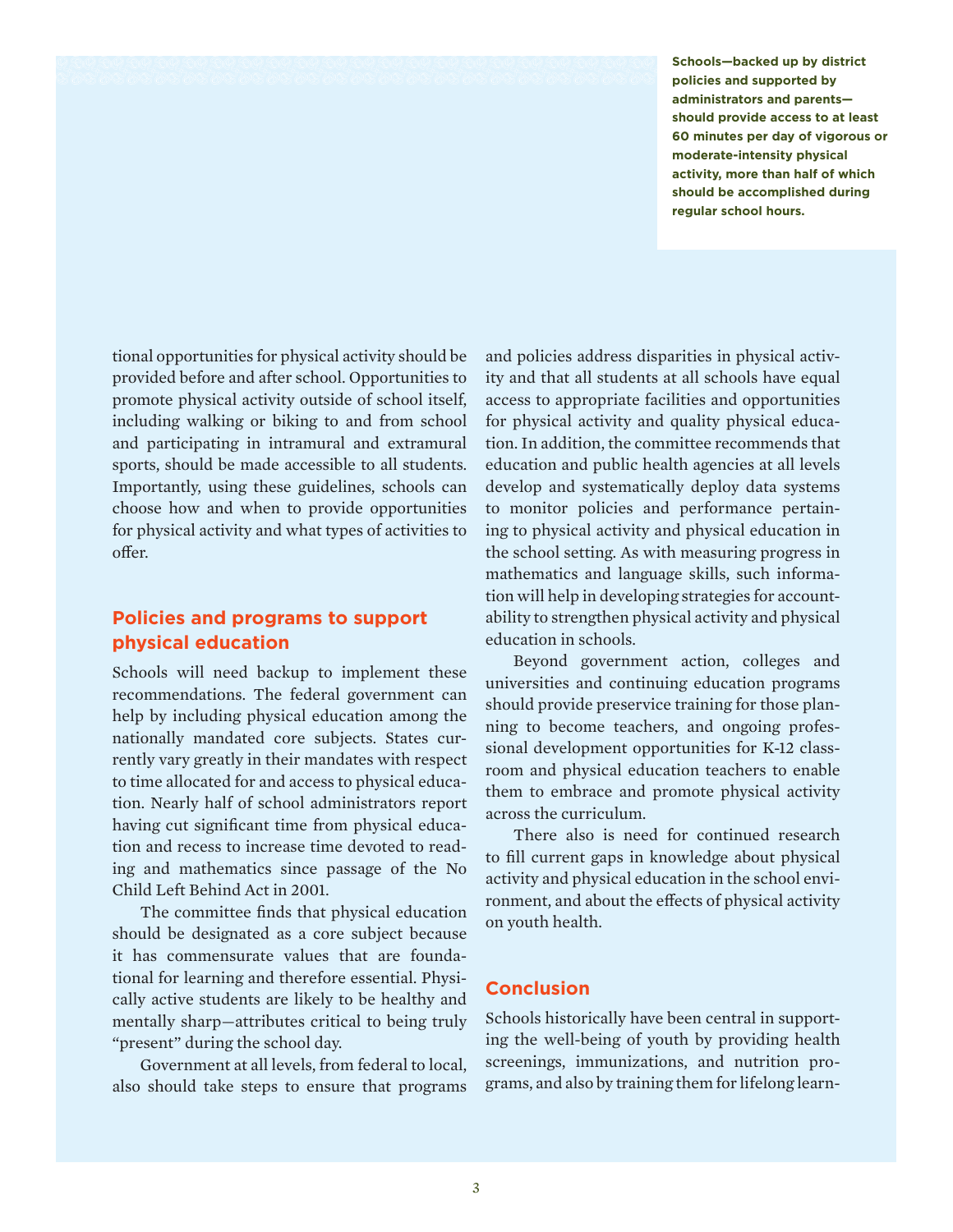**Schools—backed up by district policies and supported by administrators and parents should provide access to at least 60 minutes per day of vigorous or moderate-intensity physical activity, more than half of which should be accomplished during regular school hours.** 

tional opportunities for physical activity should be provided before and after school. Opportunities to promote physical activity outside of school itself, including walking or biking to and from school and participating in intramural and extramural sports, should be made accessible to all students. Importantly, using these guidelines, schools can choose how and when to provide opportunities for physical activity and what types of activities to offer.

# **Policies and programs to support physical education**

Schools will need backup to implement these recommendations. The federal government can help by including physical education among the nationally mandated core subjects. States currently vary greatly in their mandates with respect to time allocated for and access to physical education. Nearly half of school administrators report having cut significant time from physical education and recess to increase time devoted to reading and mathematics since passage of the No Child Left Behind Act in 2001.

The committee finds that physical education should be designated as a core subject because it has commensurate values that are foundational for learning and therefore essential. Physically active students are likely to be healthy and mentally sharp—attributes critical to being truly "present" during the school day.

Government at all levels, from federal to local, also should take steps to ensure that programs and policies address disparities in physical activity and that all students at all schools have equal access to appropriate facilities and opportunities for physical activity and quality physical education. In addition, the committee recommends that education and public health agencies at all levels develop and systematically deploy data systems to monitor policies and performance pertaining to physical activity and physical education in the school setting. As with measuring progress in mathematics and language skills, such information will help in developing strategies for accountability to strengthen physical activity and physical education in schools.

Beyond government action, colleges and universities and continuing education programs should provide preservice training for those planning to become teachers, and ongoing professional development opportunities for K-12 classroom and physical education teachers to enable them to embrace and promote physical activity across the curriculum.

There also is need for continued research to fill current gaps in knowledge about physical activity and physical education in the school environment, and about the effects of physical activity on youth health.

# **Conclusion**

Schools historically have been central in supporting the well-being of youth by providing health screenings, immunizations, and nutrition programs, and also by training them for lifelong learn-